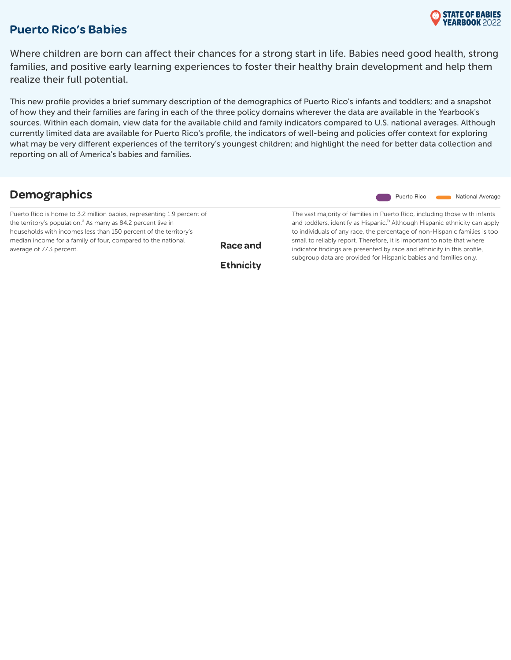

#### Puerto Rico's Babies

Where children are born can affect their chances for a strong start in life. Babies need good health, strong families, and positive early learning experiences to foster their healthy brain development and help them realize their full potential.

This new profile provides a brief summary description of the demographics of Puerto Rico's infants and toddlers; and a snapshot of how they and their families are faring in each of the three policy domains wherever the data are available in the Yearbook's sources. Within each domain, view data for the available child and family indicators compared to U.S. national averages. Although currently limited data are available for Puerto Rico's profile, the indicators of well-being and policies offer context for exploring what may be very different experiences of the territory's youngest children; and highlight the need for better data collection and reporting on all of America's babies and families.

| <b>Demographics</b>                                                                                                                                                                                                                                                                                                |                              | <b>National Average</b><br>Puerto Rico                                                                                                                                                                                                                                                                                                                                                                                                                                        |
|--------------------------------------------------------------------------------------------------------------------------------------------------------------------------------------------------------------------------------------------------------------------------------------------------------------------|------------------------------|-------------------------------------------------------------------------------------------------------------------------------------------------------------------------------------------------------------------------------------------------------------------------------------------------------------------------------------------------------------------------------------------------------------------------------------------------------------------------------|
| Puerto Rico is home to 3.2 million babies, representing 1.9 percent of<br>the territory's population. <sup>a</sup> As many as 84.2 percent live in<br>households with incomes less than 150 percent of the territory's<br>median income for a family of four, compared to the national<br>average of 77.3 percent. | Race and<br><b>Ethnicity</b> | The vast majority of families in Puerto Rico, including those with infants<br>and toddlers, identify as Hispanic. <sup>b</sup> Although Hispanic ethnicity can apply<br>to individuals of any race, the percentage of non-Hispanic families is too<br>small to reliably report. Therefore, it is important to note that where<br>indicator findings are presented by race and ethnicity in this profile,<br>subgroup data are provided for Hispanic babies and families only. |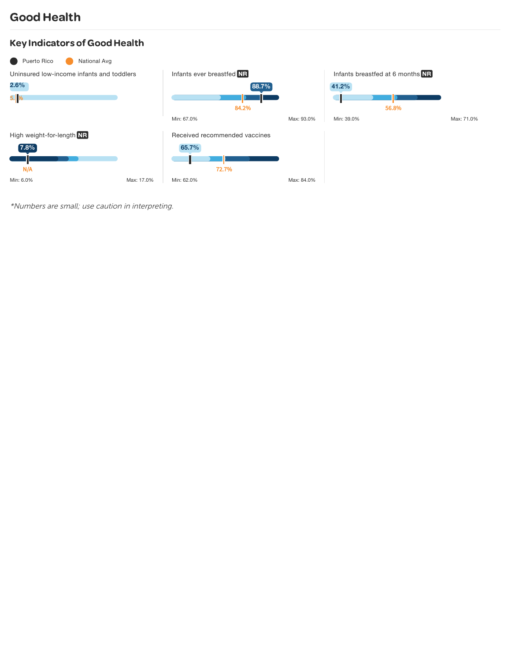# **Good Health**

### Key Indicators of Good Health

| Puerto Rico<br>National Avg               |            |                               |       |            |                                  |       |            |
|-------------------------------------------|------------|-------------------------------|-------|------------|----------------------------------|-------|------------|
| Uninsured low-income infants and toddlers |            | Infants ever breastfed NR     |       |            | Infants breastfed at 6 months NR |       |            |
| $2.6\%$                                   |            |                               | 88.7% |            | 41.2%                            |       |            |
| $5.$ %                                    |            |                               |       |            |                                  |       |            |
|                                           |            |                               | 84.2% |            |                                  | 56.8% |            |
|                                           |            | Min: 67.0%                    |       | Max: 93.0% | Min: 39.0%                       |       | Max: 71.0% |
| High weight-for-length NR                 |            | Received recommended vaccines |       |            |                                  |       |            |
| $7.8\%$                                   |            | 65.7%                         |       |            |                                  |       |            |
|                                           |            |                               |       |            |                                  |       |            |
| N/A                                       |            | 72.7%                         |       |            |                                  |       |            |
| Min: 6.0%                                 | Max: 17.0% | Min: 62.0%                    |       | Max: 84.0% |                                  |       |            |

\*Numbers are small; use caution in interpreting.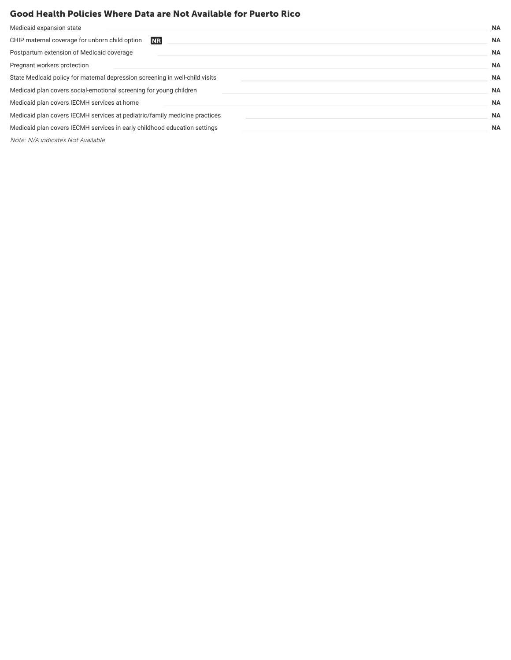#### Good Health Policies Where Data are Not Available for Puerto Rico

| Medicaid expansion state                                                     | <b>NA</b> |
|------------------------------------------------------------------------------|-----------|
| CHIP maternal coverage for unborn child option<br><b>NR</b>                  | <b>NA</b> |
| Postpartum extension of Medicaid coverage                                    | <b>NA</b> |
| Pregnant workers protection                                                  | <b>NA</b> |
| State Medicaid policy for maternal depression screening in well-child visits | <b>NA</b> |
| Medicaid plan covers social-emotional screening for young children           | <b>NA</b> |
| Medicaid plan covers IECMH services at home                                  | <b>NA</b> |
| Medicaid plan covers IECMH services at pediatric/family medicine practices   | <b>NA</b> |
| Medicaid plan covers IECMH services in early childhood education settings    | <b>NA</b> |
|                                                                              |           |

Note: N/A indicates Not Available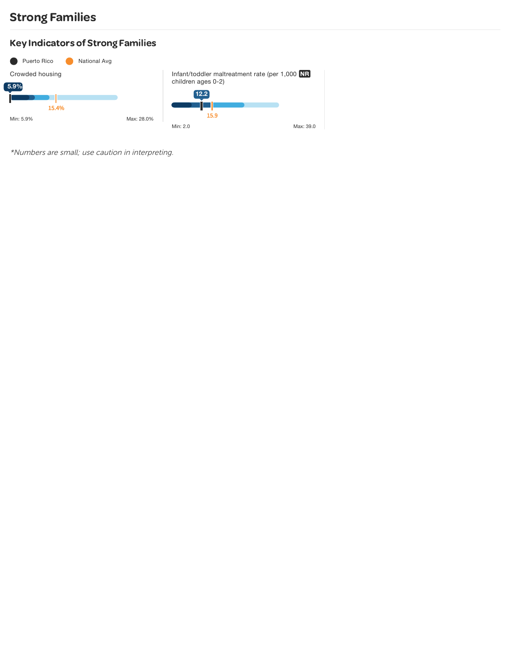## Strong Families

### Key Indicators of Strong Families



\*Numbers are small; use caution in interpreting.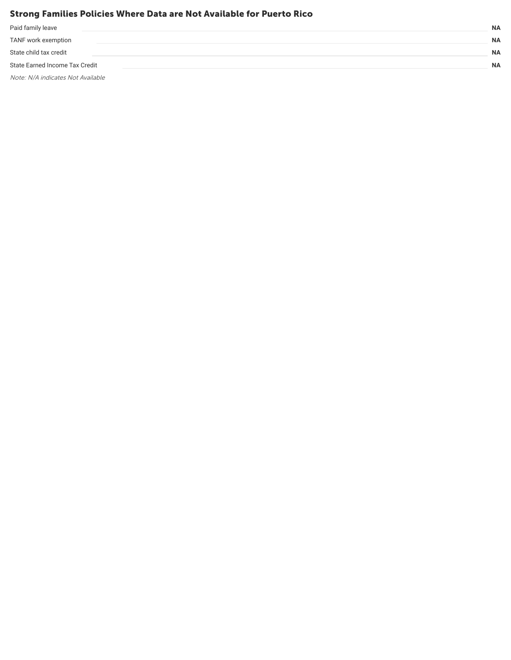#### Strong Families Policies Where Data are Not Available for Puerto Rico

| Paid family leave              | <b>NA</b> |
|--------------------------------|-----------|
| TANF work exemption            | <b>NA</b> |
| State child tax credit         | <b>NA</b> |
| State Earned Income Tax Credit | <b>NA</b> |
|                                |           |

Note: N/A indicates Not Available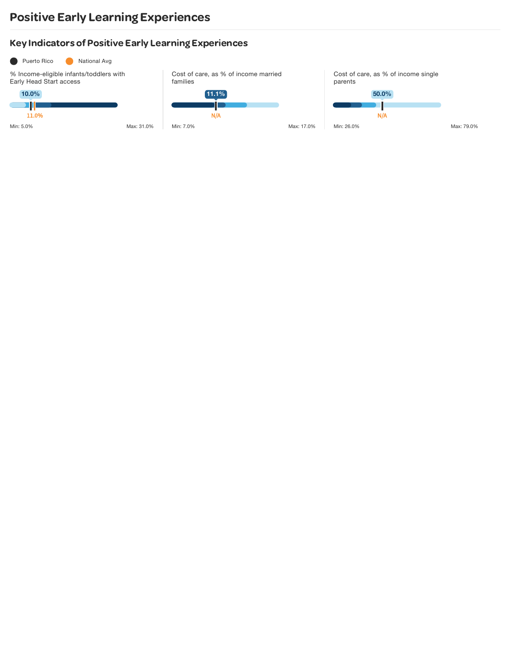## Positive Early Learning Experiences

### **Key Indicators of Positive Early Learning Experiences**